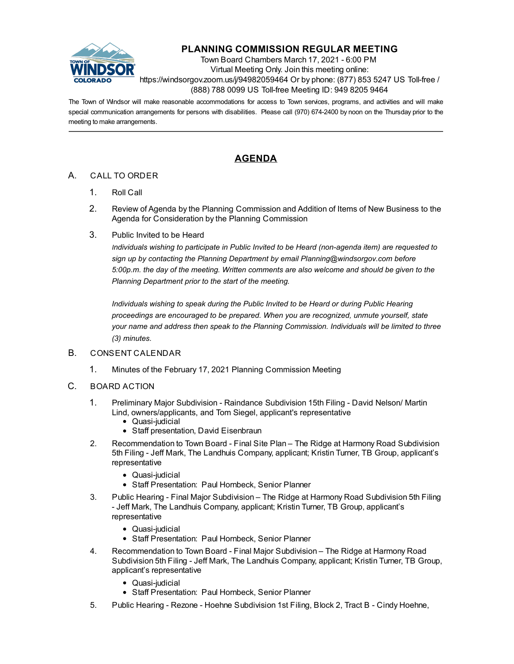

# **PLANNING COMMISSION REGULAR MEETING**

Town Board Chambers March 17, 2021 - 6:00 PM Virtual Meeting Only. Join this meeting online: https://windsorgov.zoom.us/j/94982059464 Or by phone: (877) 853 5247 US Toll-free / (888) 788 0099 US Toll-free Meeting ID: 949 8205 9464

The Town of Windsor will make reasonable accommodations for access to Town services, programs, and activities and will make special communication arrangements for persons with disabilities. Please call (970) 674-2400 by noon on the Thursday prior to the meeting to make arrangements.

## **AGENDA**

## A. CALL TO ORDER

- 1. Roll Call
- 2. Review of Agenda by the Planning Commission and Addition of Items of New Business to the Agenda for Consideration by the Planning Commission
- 3. Public Invited to be Heard

*Individuals wishing to participate in Public Invited to be Heard (non-agenda item) are requested to sign up by contacting the Planning Department by email Planning@windsorgov.com before 5:00p.m. the day of the meeting. Written comments are also welcome and should be given to the Planning Department prior to the start of the meeting.*

*Individuals wishing to speak during the Public Invited to be Heard or during Public Hearing proceedings are encouraged to be prepared. When you are recognized, unmute yourself, state your name and address then speak to the Planning Commission. Individuals will be limited to three (3) minutes.*

#### B. CONSENT CALENDAR

- 1. [Minutes of the February 17, 2021 Planning Commission Meeting](file:///C:/Windows/TEMP/CoverSheet.aspx?ItemID=1314&MeetingID=232)
- C. BOARD ACTION
	- 1. [Preliminary Major Subdivision Raindance Subdivision 15th Filing David Nelson/ Martin](file:///C:/Windows/TEMP/CoverSheet.aspx?ItemID=1310&MeetingID=232) Lind, owners/applicants, and Tom Siegel, applicant's representative
		- Quasi-judicial
		- Staff presentation, David Eisenbraun
	- 2. [Recommendation to Town Board Final Site Plan The Ridge at Harmony Road Subdivision](file:///C:/Windows/TEMP/CoverSheet.aspx?ItemID=1311&MeetingID=232) 5th Filing - Jeff Mark, The Landhuis Company, applicant; Kristin Turner, TB Group, applicant's representative
		- Quasi-judicial
		- Staff Presentation: Paul Hornbeck, Senior Planner
	- 3. Public Hearing Final Major Subdivision The Ridge at Harmony Road Subdivision 5th Filing [- Jeff Mark, The Landhuis Company, applicant; Kristin Turner, TB Group, applicant's](file:///C:/Windows/TEMP/CoverSheet.aspx?ItemID=1312&MeetingID=232) representative
		- Quasi-iudicial
		- Staff Presentation: Paul Hornbeck, Senior Planner
	- 4. Recommendation to Town Board Final Major Subdivision The Ridge at Harmony Road [Subdivision 5th Filing - Jeff Mark, The Landhuis Company, applicant; Kristin Turner, TB Group,](file:///C:/Windows/TEMP/CoverSheet.aspx?ItemID=1313&MeetingID=232) applicant's representative
		- Quasi-judicial
		- Staff Presentation: Paul Hornbeck, Senior Planner
	- 5. [Public Hearing Rezone Hoehne Subdivision 1st Filing, Block 2, Tract B Cindy Hoehne,](file:///C:/Windows/TEMP/CoverSheet.aspx?ItemID=1322&MeetingID=232)